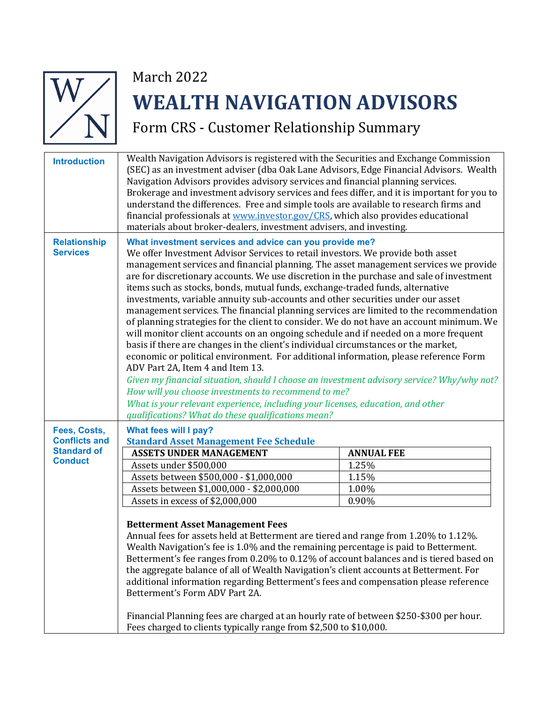

## March 2022 **WEALTH NAVIGATION ADVISORS**

Form CRS - Customer Relationship Summary

| <b>Introduction</b>                    | Wealth Navigation Advisors is registered with the Securities and Exchange Commission<br>(SEC) as an investment adviser (dba Oak Lane Advisors, Edge Financial Advisors. Wealth<br>Navigation Advisors provides advisory services and financial planning services.<br>Brokerage and investment advisory services and fees differ, and it is important for you to<br>understand the differences. Free and simple tools are available to research firms and<br>financial professionals at www.investor.gov/CRS, which also provides educational<br>materials about broker-dealers, investment advisers, and investing.                                                                                                                                                                                                                                                                                                                                                                                                                                                                                                                                                                                                                                                                              |                   |  |
|----------------------------------------|--------------------------------------------------------------------------------------------------------------------------------------------------------------------------------------------------------------------------------------------------------------------------------------------------------------------------------------------------------------------------------------------------------------------------------------------------------------------------------------------------------------------------------------------------------------------------------------------------------------------------------------------------------------------------------------------------------------------------------------------------------------------------------------------------------------------------------------------------------------------------------------------------------------------------------------------------------------------------------------------------------------------------------------------------------------------------------------------------------------------------------------------------------------------------------------------------------------------------------------------------------------------------------------------------|-------------------|--|
| <b>Relationship</b><br><b>Services</b> | What investment services and advice can you provide me?<br>We offer Investment Advisor Services to retail investors. We provide both asset<br>management services and financial planning. The asset management services we provide<br>are for discretionary accounts. We use discretion in the purchase and sale of investment<br>items such as stocks, bonds, mutual funds, exchange-traded funds, alternative<br>investments, variable annuity sub-accounts and other securities under our asset<br>management services. The financial planning services are limited to the recommendation<br>of planning strategies for the client to consider. We do not have an account minimum. We<br>will monitor client accounts on an ongoing schedule and if needed on a more frequent<br>basis if there are changes in the client's individual circumstances or the market,<br>economic or political environment. For additional information, please reference Form<br>ADV Part 2A, Item 4 and Item 13.<br>Given my financial situation, should I choose an investment advisory service? Why/why not?<br>How will you choose investments to recommend to me?<br>What is your relevant experience, including your licenses, education, and other<br>qualifications? What do these qualifications mean? |                   |  |
| Fees, Costs,<br><b>Conflicts and</b>   | What fees will I pay?<br><b>Standard Asset Management Fee Schedule</b>                                                                                                                                                                                                                                                                                                                                                                                                                                                                                                                                                                                                                                                                                                                                                                                                                                                                                                                                                                                                                                                                                                                                                                                                                           |                   |  |
| <b>Standard of</b>                     | <b>ASSETS UNDER MANAGEMENT</b>                                                                                                                                                                                                                                                                                                                                                                                                                                                                                                                                                                                                                                                                                                                                                                                                                                                                                                                                                                                                                                                                                                                                                                                                                                                                   | <b>ANNUAL FEE</b> |  |
| <b>Conduct</b>                         | Assets under \$500,000                                                                                                                                                                                                                                                                                                                                                                                                                                                                                                                                                                                                                                                                                                                                                                                                                                                                                                                                                                                                                                                                                                                                                                                                                                                                           | 1.25%             |  |
|                                        | Assets between \$500,000 - \$1,000,000                                                                                                                                                                                                                                                                                                                                                                                                                                                                                                                                                                                                                                                                                                                                                                                                                                                                                                                                                                                                                                                                                                                                                                                                                                                           | 1.15%             |  |
|                                        | Assets between \$1,000,000 - \$2,000,000                                                                                                                                                                                                                                                                                                                                                                                                                                                                                                                                                                                                                                                                                                                                                                                                                                                                                                                                                                                                                                                                                                                                                                                                                                                         | 1.00%             |  |
|                                        | Assets in excess of \$2,000,000                                                                                                                                                                                                                                                                                                                                                                                                                                                                                                                                                                                                                                                                                                                                                                                                                                                                                                                                                                                                                                                                                                                                                                                                                                                                  | 0.90%             |  |
|                                        | <b>Betterment Asset Management Fees</b><br>Annual fees for assets held at Betterment are tiered and range from 1.20% to 1.12%.<br>Wealth Navigation's fee is 1.0% and the remaining percentage is paid to Betterment.<br>Betterment's fee ranges from 0.20% to 0.12% of account balances and is tiered based on<br>the aggregate balance of all of Wealth Navigation's client accounts at Betterment. For<br>additional information regarding Betterment's fees and compensation please reference<br>Betterment's Form ADV Part 2A.<br>Financial Planning fees are charged at an hourly rate of between \$250-\$300 per hour.<br>Fees charged to clients typically range from \$2,500 to \$10,000.                                                                                                                                                                                                                                                                                                                                                                                                                                                                                                                                                                                               |                   |  |